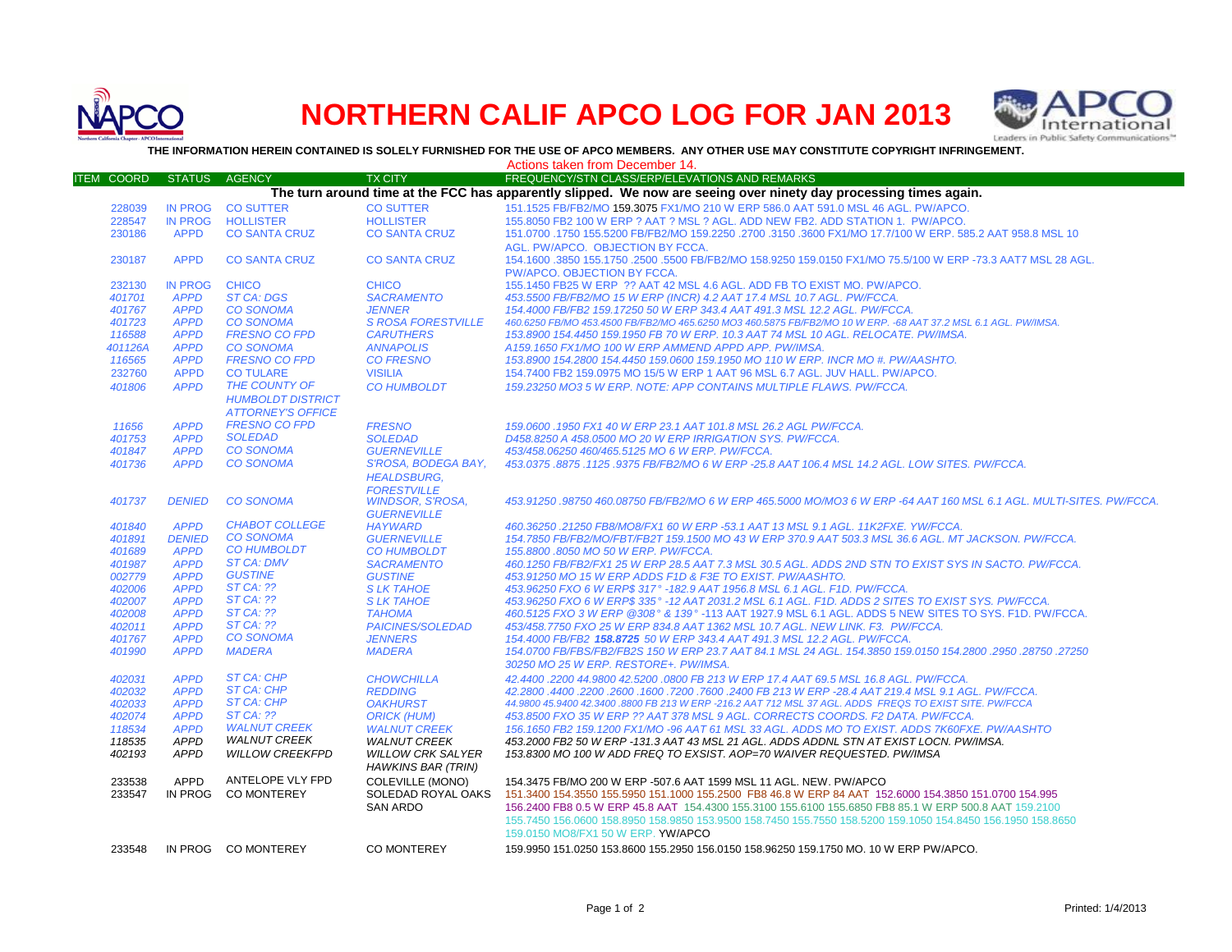

# **NORTHERN CALIF APCO LOG FOR JAN 2013**



**THE INFORMATION HEREIN CONTAINED IS SOLELY FURNISHED FOR THE USE OF APCO MEMBERS. ANY OTHER USE MAY CONSTITUTE COPYRIGHT INFRINGEMENT.**

|                   |                                                                                                                   |                          |                           | Actions taken from December 14.                                                                                     |  |  |
|-------------------|-------------------------------------------------------------------------------------------------------------------|--------------------------|---------------------------|---------------------------------------------------------------------------------------------------------------------|--|--|
| <b>ITEM COORD</b> | <b>STATUS</b>                                                                                                     | <b>AGENCY</b>            | <b>TX CITY</b>            | FREQUENCY/STN CLASS/ERP/ELEVATIONS AND REMARKS                                                                      |  |  |
|                   | The turn around time at the FCC has apparently slipped. We now are seeing over ninety day processing times again. |                          |                           |                                                                                                                     |  |  |
| 228039            | <b>IN PROG</b>                                                                                                    | <b>CO SUTTER</b>         | <b>CO SUTTER</b>          | 151.1525 FB/FB2/MO 159.3075 FX1/MO 210 W ERP 586.0 AAT 591.0 MSL 46 AGL. PW/APCO.                                   |  |  |
| 228547            | <b>IN PROG</b>                                                                                                    | <b>HOLLISTER</b>         | <b>HOLLISTER</b>          | 155,8050 FB2 100 W ERP ? AAT ? MSL ? AGL, ADD NEW FB2, ADD STATION 1. PW/APCO,                                      |  |  |
| 230186            | <b>APPD</b>                                                                                                       | <b>CO SANTA CRUZ</b>     | <b>CO SANTA CRUZ</b>      | 151.0700 .1750 155.5200 FB/FB2/MO 159.2250 .2700 .3150 .3600 FX1/MO 17.7/100 W ERP. 585.2 AAT 958.8 MSL 10          |  |  |
|                   |                                                                                                                   |                          |                           | AGL. PW/APCO. OBJECTION BY FCCA.                                                                                    |  |  |
| 230187            | <b>APPD</b>                                                                                                       | <b>CO SANTA CRUZ</b>     | <b>CO SANTA CRUZ</b>      | 154.1600 .3850 155.1750 .2500 .5500 FB/FB2/MO 158.9250 159.0150 FX1/MO 75.5/100 W ERP -73.3 AAT7 MSL 28 AGL.        |  |  |
|                   |                                                                                                                   |                          |                           | PW/APCO. OBJECTION BY FCCA.                                                                                         |  |  |
| 232130            | <b>IN PROG</b>                                                                                                    | <b>CHICO</b>             | <b>CHICO</b>              | 155.1450 FB25 W ERP ?? AAT 42 MSL 4.6 AGL. ADD FB TO EXIST MO. PW/APCO.                                             |  |  |
| 401701            | <b>APPD</b>                                                                                                       | <b>ST CA: DGS</b>        | <b>SACRAMENTO</b>         | 453.5500 FB/FB2/MO 15 W ERP (INCR) 4.2 AAT 17.4 MSL 10.7 AGL. PW/FCCA.                                              |  |  |
| 401767            | <b>APPD</b>                                                                                                       | <b>CO SONOMA</b>         | <b>JENNER</b>             | 154.4000 FB/FB2 159.17250 50 W ERP 343.4 AAT 491.3 MSL 12.2 AGL. PW/FCCA.                                           |  |  |
| 401723            | <b>APPD</b>                                                                                                       | <b>CO SONOMA</b>         | <b>S ROSA FORESTVILLE</b> | 460.6250 FB/MO 453.4500 FB/FB2/MO 465.6250 MO3 460.5875 FB/FB2/MO 10 W ERP. -68 AAT 37.2 MSL 6.1 AGL. PW/IMSA.      |  |  |
| 116588            | <b>APPD</b>                                                                                                       | <b>FRESNO CO FPD</b>     | <b>CARUTHERS</b>          | 153.8900 154.4450 159.1950 FB 70 W ERP. 10.3 AAT 74 MSL 10 AGL. RELOCATE. PW/IMSA.                                  |  |  |
| 401126A           | <b>APPD</b>                                                                                                       | <b>CO SONOMA</b>         | <b>ANNAPOLIS</b>          | A159.1650 FX1/MO 100 W ERP AMMEND APPD APP. PW/IMSA.                                                                |  |  |
| 116565            | <b>APPD</b>                                                                                                       | <b>FRESNO CO FPD</b>     | <b>CO FRESNO</b>          | 153.8900 154.2800 154.4450 159.0600 159.1950 MO 110 W ERP. INCR MO #. PW/AASHTO.                                    |  |  |
| 232760            | <b>APPD</b>                                                                                                       | <b>CO TULARE</b>         | <b>VISILIA</b>            | 154.7400 FB2 159.0975 MO 15/5 W ERP 1 AAT 96 MSL 6.7 AGL. JUV HALL. PW/APCO.                                        |  |  |
| 401806            | <b>APPD</b>                                                                                                       | THE COUNTY OF            | <b>CO HUMBOLDT</b>        | 159.23250 MO3 5 W ERP. NOTE: APP CONTAINS MULTIPLE FLAWS. PW/FCCA.                                                  |  |  |
|                   |                                                                                                                   | <b>HUMBOLDT DISTRICT</b> |                           |                                                                                                                     |  |  |
|                   |                                                                                                                   | <b>ATTORNEY'S OFFICE</b> |                           |                                                                                                                     |  |  |
| 11656             | <b>APPD</b>                                                                                                       | <b>FRESNO CO FPD</b>     | <b>FRESNO</b>             | 159.0600 .1950 FX1 40 W ERP 23.1 AAT 101.8 MSL 26.2 AGL PW/FCCA.                                                    |  |  |
| 401753            | <b>APPD</b>                                                                                                       | <b>SOLEDAD</b>           | <b>SOLEDAD</b>            | D458.8250 A 458.0500 MO 20 W ERP IRRIGATION SYS. PW/FCCA.                                                           |  |  |
| 401847            | <b>APPD</b>                                                                                                       | <b>CO SONOMA</b>         | <b>GUERNEVILLE</b>        | 453/458.06250 460/465.5125 MO 6 W ERP. PW/FCCA.                                                                     |  |  |
| 401736            | <b>APPD</b>                                                                                                       | <b>CO SONOMA</b>         | S'ROSA, BODEGA BAY,       | 453.0375.8875.1125.9375 FB/FB2/MO 6 W ERP -25.8 AAT 106.4 MSL 14.2 AGL. LOW SITES. PW/FCCA.                         |  |  |
|                   |                                                                                                                   |                          | <b>HEALDSBURG.</b>        |                                                                                                                     |  |  |
|                   |                                                                                                                   |                          | <b>FORESTVILLE</b>        |                                                                                                                     |  |  |
| 401737            | <b>DENIED</b>                                                                                                     | <b>CO SONOMA</b>         | <b>WINDSOR, S'ROSA,</b>   | 453.91250 .98750 460.08750 FB/FB2/MO 6 W ERP 465.5000 MO/MO3 6 W ERP -64 AAT 160 MSL 6.1 AGL. MULTI-SITES. PW/FCCA. |  |  |
|                   |                                                                                                                   |                          | <b>GUERNEVILLE</b>        |                                                                                                                     |  |  |
| 401840            | <b>APPD</b>                                                                                                       | <b>CHABOT COLLEGE</b>    | <b>HAYWARD</b>            | 460.36250.21250 FB8/MO8/FX1 60 W ERP -53.1 AAT 13 MSL 9.1 AGL, 11K2FXE, YW/FCCA.                                    |  |  |
| 401891            | <b>DENIED</b>                                                                                                     | <b>CO SONOMA</b>         | <b>GUERNEVILLE</b>        | 154.7850 FB/FB2/MO/FBT/FB2T 159.1500 MO 43 W ERP 370.9 AAT 503.3 MSL 36.6 AGL, MT JACKSON, PW/FCCA,                 |  |  |
| 401689            | <b>APPD</b>                                                                                                       | <b>CO HUMBOLDT</b>       | <b>CO HUMBOLDT</b>        | 155.8800,8050 MO 50 W ERP. PW/FCCA.                                                                                 |  |  |
| 401987            | <b>APPD</b>                                                                                                       | <b>ST CA: DMV</b>        | <b>SACRAMENTO</b>         | 460.1250 FB/FB2/FX1 25 W ERP 28.5 AAT 7.3 MSL 30.5 AGL. ADDS 2ND STN TO EXIST SYS IN SACTO. PW/FCCA.                |  |  |
| 002779            | <b>APPD</b>                                                                                                       | <b>GUSTINE</b>           | <b>GUSTINE</b>            | 453.91250 MO 15 W ERP ADDS F1D & F3E TO EXIST. PW/AASHTO.                                                           |  |  |
| 402006            | <b>APPD</b>                                                                                                       | <b>ST CA: ??</b>         | <b>SLK TAHOE</b>          | 453.96250 FXO 6 W ERP\$ 317° -182.9 AAT 1956.8 MSL 6.1 AGL. F1D. PW/FCCA.                                           |  |  |
| 402007            | <b>APPD</b>                                                                                                       | <b>ST CA: ??</b>         | <b>SLK TAHOE</b>          | 453.96250 FXO 6 W ERP\$ 335° -12 AAT 2031.2 MSL 6.1 AGL. F1D. ADDS 2 SITES TO EXIST SYS. PW/FCCA.                   |  |  |
| 402008            | <b>APPD</b>                                                                                                       | <b>ST CA: ??</b>         | <b>TAHOMA</b>             | 460.5125 FXO 3 W ERP @308° & 139° -113 AAT 1927.9 MSL 6.1 AGL. ADDS 5 NEW SITES TO SYS. F1D. PW/FCCA.               |  |  |
| 402011            | <b>APPD</b>                                                                                                       | $STCA:$ ??               | <b>PAICINES/SOLEDAD</b>   | 453/458.7750 FXO 25 W ERP 834.8 AAT 1362 MSL 10.7 AGL. NEW LINK. F3. PW/FCCA.                                       |  |  |
| 401767            | <b>APPD</b>                                                                                                       | <b>CO SONOMA</b>         | <b>JENNERS</b>            | 154.4000 FB/FB2 158.8725 50 W ERP 343.4 AAT 491.3 MSL 12.2 AGL. PW/FCCA.                                            |  |  |
| 401990            | <b>APPD</b>                                                                                                       | <b>MADERA</b>            | <b>MADERA</b>             | 154.0700 PB/FBS/FB2/FB2S 150 W ERP 23.7 AAT 84.1 MSL 24 AGL. 154.3850 159.0150 154.2800 .2950 .28750 .27250         |  |  |
|                   |                                                                                                                   |                          |                           | 30250 MO 25 W ERP. RESTORE+. PW/IMSA.                                                                               |  |  |
| 402031            | <b>APPD</b>                                                                                                       | ST CA: CHP               | <b>CHOWCHILLA</b>         | 42.4400.2200 44.9800 42.5200.0800 FB 213 W ERP 17.4 AAT 69.5 MSL 16.8 AGL. PW/FCCA.                                 |  |  |
| 402032            | <b>APPD</b>                                                                                                       | <b>ST CA: CHP</b>        | <b>REDDING</b>            | .42.2800 .4400 .2200 .2600 .1600 .7200 .7600 .2400 FB 213 W ERP -28.4 AAT 219.4 MSL 9.1 AGL. PW/FCCA                |  |  |
| 402033            | <b>APPD</b>                                                                                                       | <b>ST CA: CHP</b>        | <b>OAKHURST</b>           | 44.9800 45.9400 42.3400 .8800 FB 213 W ERP -216.2 AAT 712 MSL 37 AGL. ADDS FREQS TO EXIST SITE. PW/FCCA             |  |  |
| 402074            | <b>APPD</b>                                                                                                       | <b>ST CA: ??</b>         | <b>ORICK (HUM)</b>        | 453.8500 FXO 35 W ERP ?? AAT 378 MSL 9 AGL. CORRECTS COORDS. F2 DATA. PW/FCCA.                                      |  |  |
| 118534            | <b>APPD</b>                                                                                                       | <b>WALNUT CREEK</b>      | <b>WALNUT CREEK</b>       | 156.1650 FB2 159.1200 FX1/MO -96 AAT 61 MSL 33 AGL. ADDS MO TO EXIST. ADDS 7K60FXE. PW/AASHTO                       |  |  |
| 118535            | <b>APPD</b>                                                                                                       | <b>WALNUT CREEK</b>      | <b>WALNUT CREEK</b>       | 453.2000 FB2 50 W ERP -131.3 AAT 43 MSL 21 AGL. ADDS ADDNL STN AT EXIST LOCN. PW/IMSA.                              |  |  |
| 402193            | <b>APPD</b>                                                                                                       | <b>WILLOW CREEKFPD</b>   | <b>WILLOW CRK SALYER</b>  | 153.8300 MO 100 W ADD FREQ TO EXSIST. AOP=70 WAIVER REQUESTED. PW/IMSA                                              |  |  |
|                   |                                                                                                                   | ANTELOPE VLY FPD         | HAWKINS BAR (TRIN)        |                                                                                                                     |  |  |
| 233538            | <b>APPD</b>                                                                                                       |                          | <b>COLEVILLE (MONO)</b>   | 154.3475 FB/MO 200 W ERP -507.6 AAT 1599 MSL 11 AGL. NEW. PW/APCO                                                   |  |  |
| 233547            | IN PROG                                                                                                           | <b>CO MONTEREY</b>       | SOLEDAD ROYAL OAKS        | 151.3400 154.3550 155.5950 151.1000 155.2500 FB8 46.8 W ERP 84 AAT 152.6000 154.3850 151.0700 154.995               |  |  |
|                   |                                                                                                                   |                          | <b>SAN ARDO</b>           | 156.2400 FB8 0.5 W ERP 45.8 AAT 154.4300 155.3100 155.6100 155.6850 FB8 85.1 W ERP 500.8 AAT 159.2100               |  |  |
|                   |                                                                                                                   |                          |                           | 155.7450 156.0600 158.8950 158.9850 153.9500 158.7450 155.7550 158.5200 159.1050 154.8450 156.1950 158.8650         |  |  |
|                   |                                                                                                                   |                          |                           | 159.0150 MO8/FX1 50 W ERP. YW/APCO                                                                                  |  |  |
| 233548            |                                                                                                                   | IN PROG CO MONTEREY      | CO MONTEREY               | 159.9950 151.0250 153.8600 155.2950 156.0150 158.96250 159.1750 MO. 10 W ERP PW/APCO.                               |  |  |